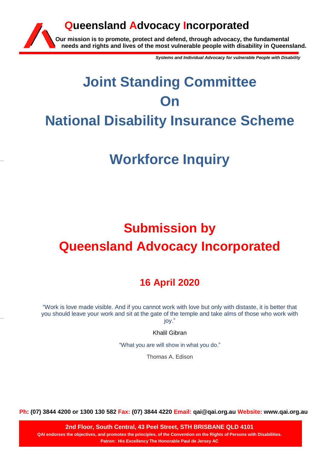### **Our mission is to promote, protect and defend, through advocacy, the fundamental needs and rights and lives of the most vulnerable people with disability in Queensland. Queensland Advocacy Incorporated**

*Systems and Individual Advocacy for vulnerable People with Disability*

# **Joint Standing Committee On National Disability Insurance Scheme**

## **Workforce Inquiry**

## **Submission by Queensland Advocacy Incorporated**

### **16 April 2020**

"Work is love made visible. And if you cannot work with love but only with distaste, it is better that you should leave your work and sit at the gate of the temple and take alms of those who work with joy."

Khalil Gibran

"What you are will show in what you do."

Thomas A. Edison

**Ph: (07) 3844 4200 or 1300 130 582 Fax: (07) 3844 4220 Email: qai@qai.org.au Website: www.qai.org.au**

**2nd Floor, South Central, 43 Peel Street, STH BRISBANE QLD 4101 QAI endorses the objectives, and promotes the principles, of the Convention on the Rights of Persons with Disabilities. Patron: His Excellency The Honorable Paul de Jersey AC**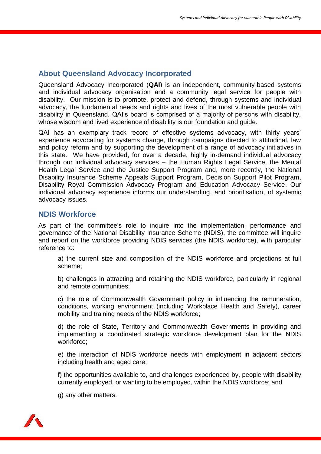#### **About Queensland Advocacy Incorporated**

Queensland Advocacy Incorporated (**QAI**) is an independent, community-based systems and individual advocacy organisation and a community legal service for people with disability. Our mission is to promote, protect and defend, through systems and individual advocacy, the fundamental needs and rights and lives of the most vulnerable people with disability in Queensland. QAI's board is comprised of a majority of persons with disability, whose wisdom and lived experience of disability is our foundation and guide.

QAI has an exemplary track record of effective systems advocacy, with thirty years' experience advocating for systems change, through campaigns directed to attitudinal, law and policy reform and by supporting the development of a range of advocacy initiatives in this state. We have provided, for over a decade, highly in-demand individual advocacy through our individual advocacy services – the Human Rights Legal Service, the Mental Health Legal Service and the Justice Support Program and, more recently, the National Disability Insurance Scheme Appeals Support Program, Decision Support Pilot Program, Disability Royal Commission Advocacy Program and Education Advocacy Service. Our individual advocacy experience informs our understanding, and prioritisation, of systemic advocacy issues.

#### **NDIS Workforce**

As part of the committee's role to inquire into the implementation, performance and governance of the National Disability Insurance Scheme (NDIS), the committee will inquire and report on the workforce providing NDIS services (the NDIS workforce), with particular reference to:

a) the current size and composition of the NDIS workforce and projections at full scheme;

b) challenges in attracting and retaining the NDIS workforce, particularly in regional and remote communities;

c) the role of Commonwealth Government policy in influencing the remuneration, conditions, working environment (including Workplace Health and Safety), career mobility and training needs of the NDIS workforce;

d) the role of State, Territory and Commonwealth Governments in providing and implementing a coordinated strategic workforce development plan for the NDIS workforce;

e) the interaction of NDIS workforce needs with employment in adjacent sectors including health and aged care;

f) the opportunities available to, and challenges experienced by, people with disability currently employed, or wanting to be employed, within the NDIS workforce; and

g) any other matters.

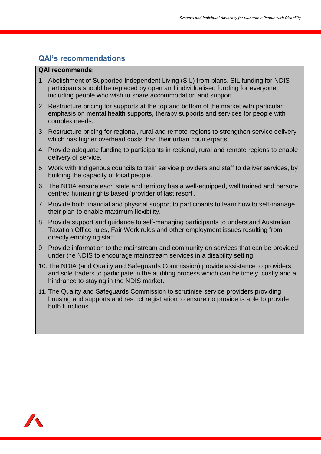#### **QAI's recommendations**

#### **QAI recommends:**

- 1. Abolishment of Supported Independent Living (SIL) from plans. SIL funding for NDIS participants should be replaced by open and individualised funding for everyone, including people who wish to share accommodation and support.
- 2. Restructure pricing for supports at the top and bottom of the market with particular emphasis on mental health supports, therapy supports and services for people with complex needs.
- 3. Restructure pricing for regional, rural and remote regions to strengthen service delivery which has higher overhead costs than their urban counterparts.
- 4. Provide adequate funding to participants in regional, rural and remote regions to enable delivery of service.
- 5. Work with Indigenous councils to train service providers and staff to deliver services, by building the capacity of local people.
- 6. The NDIA ensure each state and territory has a well-equipped, well trained and personcentred human rights based 'provider of last resort'.
- 7. Provide both financial and physical support to participants to learn how to self-manage their plan to enable maximum flexibility.
- 8. Provide support and guidance to self-managing participants to understand Australian Taxation Office rules, Fair Work rules and other employment issues resulting from directly employing staff.
- 9. Provide information to the mainstream and community on services that can be provided under the NDIS to encourage mainstream services in a disability setting.
- 10.The NDIA (and Quality and Safeguards Commission) provide assistance to providers and sole traders to participate in the auditing process which can be timely, costly and a hindrance to staying in the NDIS market.
- 11. The Quality and Safeguards Commission to scrutinise service providers providing housing and supports and restrict registration to ensure no provide is able to provide both functions.

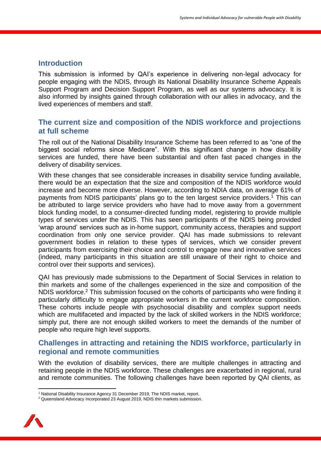#### **Introduction**

This submission is informed by QAI's experience in delivering non-legal advocacy for people engaging with the NDIS, through its National Disability Insurance Scheme Appeals Support Program and Decision Support Program, as well as our systems advocacy. It is also informed by insights gained through collaboration with our allies in advocacy, and the lived experiences of members and staff.

#### **The current size and composition of the NDIS workforce and projections at full scheme**

The roll out of the National Disability Insurance Scheme has been referred to as "one of the biggest social reforms since Medicare". With this significant change in how disability services are funded, there have been substantial and often fast paced changes in the delivery of disability services.

With these changes that see considerable increases in disability service funding available, there would be an expectation that the size and composition of the NDIS workforce would increase and become more diverse. However, according to NDIA data, on average 61% of payments from NDIS participants' plans go to the ten largest service providers. <sup>1</sup> This can be attributed to large service providers who have had to move away from a government block funding model, to a consumer-directed funding model, registering to provide multiple types of services under the NDIS. This has seen participants of the NDIS being provided 'wrap around' services such as in-home support, community access, therapies and support coordination from only one service provider. QAI has made submissions to relevant government bodies in relation to these types of services, which we consider prevent participants from exercising their choice and control to engage new and innovative services (indeed, many participants in this situation are still unaware of their right to choice and control over their supports and services).

QAI has previously made submissions to the Department of Social Services in relation to thin markets and some of the challenges experienced in the size and composition of the NDIS workforce.<sup>2</sup> This submission focused on the cohorts of participants who were finding it particularly difficulty to engage appropriate workers in the current workforce composition. These cohorts include people with psychosocial disability and complex support needs which are multifaceted and impacted by the lack of skilled workers in the NDIS workforce; simply put, there are not enough skilled workers to meet the demands of the number of people who require high level supports.

#### **Challenges in attracting and retaining the NDIS workforce, particularly in regional and remote communities**

With the evolution of disability services, there are multiple challenges in attracting and retaining people in the NDIS workforce. These challenges are exacerbated in regional, rural and remote communities. The following challenges have been reported by QAI clients, as

<sup>&</sup>lt;sup>2</sup> Queensland Advocacy Incorporated 23 August 2019, NDIS thin markets submission.



 $\overline{a}$ <sup>1</sup> National Disability Insurance Agency 31 December 2019, The NDIS market, report.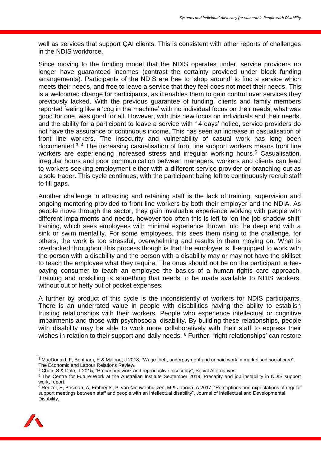well as services that support QAI clients. This is consistent with other reports of challenges in the NDIS workforce.

Since moving to the funding model that the NDIS operates under, service providers no longer have guaranteed incomes (contrast the certainty provided under block funding arrangements). Participants of the NDIS are free to 'shop around' to find a service which meets their needs, and free to leave a service that they feel does not meet their needs. This is a welcomed change for participants, as it enables them to gain control over services they previously lacked. With the previous guarantee of funding, clients and family members reported feeling like a 'cog in the machine' with no individual focus on their needs; what was good for one, was good for all. However, with this new focus on individuals and their needs, and the ability for a participant to leave a service with 14 days' notice, service providers do not have the assurance of continuous income. This has seen an increase in casualisation of front line workers. The insecurity and vulnerability of casual work has long been documented.3, 4 The increasing casualisation of front line support workers means front line workers are experiencing increased stress and irregular working hours.<sup>5</sup> Casualisation, irregular hours and poor communication between managers, workers and clients can lead to workers seeking employment either with a different service provider or branching out as a sole trader. This cycle continues, with the participant being left to continuously recruit staff to fill gaps.

Another challenge in attracting and retaining staff is the lack of training, supervision and ongoing mentoring provided to front line workers by both their employer and the NDIA. As people move through the sector, they gain invaluable experience working with people with different impairments and needs, however too often this is left to 'on the job shadow shift' training, which sees employees with minimal experience thrown into the deep end with a sink or swim mentality. For some employees, this sees them rising to the challenge, for others, the work is too stressful, overwhelming and results in them moving on. What is overlooked throughout this process though is that the employee is ill-equipped to work with the person with a disability and the person with a disability may or may not have the skillset to teach the employee what they require. The onus should not be on the participant, a feepaying consumer to teach an employee the basics of a human rights care approach. Training and upskilling is something that needs to be made available to NDIS workers, without out of hefty out of pocket expenses.

A further by product of this cycle is the inconsistently of workers for NDIS participants. There is an underrated value in people with disabilities having the ability to establish trusting relationships with their workers. People who experience intellectual or cognitive impairments and those with psychosocial disability. By building these relationships, people with disability may be able to work more collaboratively with their staff to express their wishes in relation to their support and daily needs. <sup>6</sup> Further, "right relationships' can restore

<sup>&</sup>lt;sup>6</sup> Reuzel, E, Bosman, A, Embregts, P, van Nieuwenhuijzen, M & Jahoda, A 2017. "Perceptions and expectations of regular support meetings between staff and people with an intellectual disability", Journal of Intellectual and Developmental Disability.



**<sup>.</sup>** <sup>3</sup> MacDonald, F, Bentham, E & Malone, J 2018, "Wage theft, underpayment and unpaid work in marketised social care", The Economic and Labour Relations Review.

<sup>4</sup> Chan, S & Dale, T 2015, "Precarious work and reproductive insecurity", Social Alternatives.

<sup>&</sup>lt;sup>5</sup> The Centre for Future Work at the Australian Institute September 2019, Precarity and job instability in NDIS support work, report.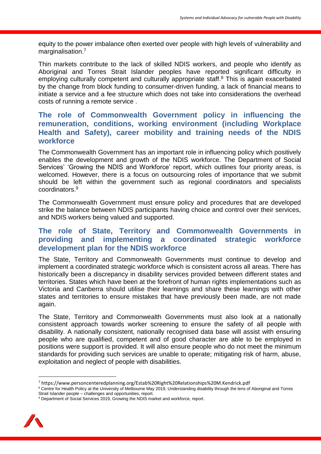equity to the power imbalance often exerted over people with high levels of vulnerability and marginalisation.<sup>7</sup>

Thin markets contribute to the lack of skilled NDIS workers, and people who identify as Aboriginal and Torres Strait Islander peoples have reported significant difficulty in employing culturally competent and culturally appropriate staff.<sup>8</sup> This is again exacerbated by the change from block funding to consumer-driven funding, a lack of financial means to initiate a service and a fee structure which does not take into considerations the overhead costs of running a remote service .

#### **The role of Commonwealth Government policy in influencing the remuneration, conditions, working environment (including Workplace Health and Safety), career mobility and training needs of the NDIS workforce**

The Commonwealth Government has an important role in influencing policy which positively enables the development and growth of the NDIS workforce. The Department of Social Services' 'Growing the NDIS and Workforce' report, which outlines four priority areas, is welcomed. However, there is a focus on outsourcing roles of importance that we submit should be left within the government such as regional coordinators and specialists coordinators. 9

The Commonwealth Government must ensure policy and procedures that are developed strike the balance between NDIS participants having choice and control over their services, and NDIS workers being valued and supported.

#### **The role of State, Territory and Commonwealth Governments in providing and implementing a coordinated strategic workforce development plan for the NDIS workforce**

The State, Territory and Commonwealth Governments must continue to develop and implement a coordinated strategic workforce which is consistent across all areas. There has historically been a discrepancy in disability services provided between different states and territories. States which have been at the forefront of human rights implementations such as Victoria and Canberra should utilise their learnings and share these learnings with other states and territories to ensure mistakes that have previously been made, are not made again.

The State, Territory and Commonwealth Governments must also look at a nationally consistent approach towards worker screening to ensure the safety of all people with disability. A nationally consistent, nationally recognised data base will assist with ensuring people who are qualified, competent and of good character are able to be employed in positions were support is provided. It will also ensure people who do not meet the minimum standards for providing such services are unable to operate; mitigating risk of harm, abuse, exploitation and neglect of people with disabilities.

<sup>9</sup> Department of Social Services 2019, Growing the NDIS market and workforce, report.



**.** 

<sup>7</sup> https://www.personcenteredplanning.org/Estab%20Right%20Relationships%20M.Kendrick.pdf

<sup>&</sup>lt;sup>8</sup> Centre for Health Policy at the University of Melbourne May 2019, Understanding disability through the lens of Aboriginal and Torres Strait Islander people – challenges and opportunities, report.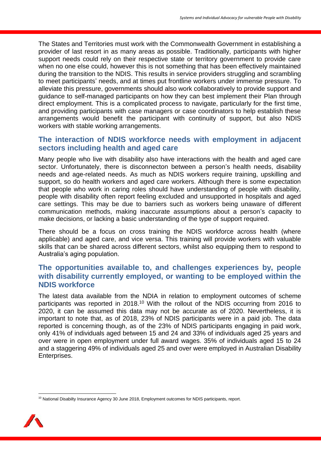The States and Territories must work with the Commonwealth Government in establishing a provider of last resort in as many areas as possible. Traditionally, participants with higher support needs could rely on their respective state or territory government to provide care when no one else could, however this is not something that has been effectively maintained during the transition to the NDIS. This results in service providers struggling and scrambling to meet participants' needs, and at times put frontline workers under immense pressure. To alleviate this pressure, governments should also work collaboratively to provide support and guidance to self-managed participants on how they can best implement their Plan through direct employment. This is a complicated process to navigate, particularly for the first time, and providing participants with case managers or case coordinators to help establish these arrangements would benefit the participant with continuity of support, but also NDIS workers with stable working arrangements.

#### **The interaction of NDIS workforce needs with employment in adjacent sectors including health and aged care**

Many people who live with disability also have interactions with the health and aged care sector. Unfortunately, there is disconnecton between a person's health needs, disability needs and age-related needs. As much as NDIS workers require training, upskilling and support, so do health workers and aged care workers. Although there is some expectation that people who work in caring roles should have understanding of people with disability, people with disability often report feeling excluded and unsupported in hospitals and aged care settings. This may be due to barriers such as workers being unaware of different communication methods, making inaccurate assumptions about a person's capacity to make decisions, or lacking a basic understanding of the type of support required.

There should be a focus on cross training the NDIS workforce across health (where applicable) and aged care, and vice versa. This training will provide workers with valuable skills that can be shared across different sectors, whilst also equipping them to respond to Australia's aging population.

#### **The opportunities available to, and challenges experiences by, people with disability currently employed, or wanting to be employed within the NDIS workforce**

The latest data available from the NDIA in relation to employment outcomes of scheme participants was reported in 2018.<sup>10</sup> With the rollout of the NDIS occurring from 2016 to 2020, it can be assumed this data may not be accurate as of 2020. Nevertheless, it is important to note that, as of 2018, 23% of NDIS participants were in a paid job. The data reported is concerning though, as of the 23% of NDIS participants engaging in paid work, only 41% of individuals aged between 15 and 24 and 33% of individuals aged 25 years and over were in open employment under full award wages. 35% of individuals aged 15 to 24 and a staggering 49% of individuals aged 25 and over were employed in Australian Disability Enterprises.

<sup>&</sup>lt;sup>10</sup> National Disabilty Insurance Agency 30 June 2018, Employment outcomes for NDIS participants, report.



**.**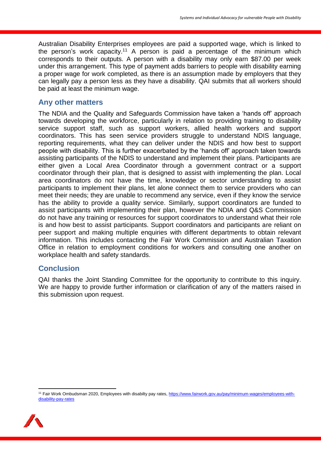Australian Disability Enterprises employees are paid a supported wage, which is linked to the person's work capacity.<sup>11</sup> A person is paid a percentage of the minimum which corresponds to their outputs. A person with a disability may only earn \$87.00 per week under this arrangement. This type of payment adds barriers to people with disability earning a proper wage for work completed, as there is an assumption made by employers that they can legally pay a person less as they have a disability. QAI submits that all workers should be paid at least the minimum wage.

#### **Any other matters**

The NDIA and the Quality and Safeguards Commission have taken a 'hands off' approach towards developing the workforce, particularly in relation to providing training to disability service support staff, such as support workers, allied health workers and support coordinators. This has seen service providers struggle to understand NDIS language, reporting requirements, what they can deliver under the NDIS and how best to support people with disability. This is further exacerbated by the 'hands off' approach taken towards assisting participants of the NDIS to understand and implement their plans. Participants are either given a Local Area Coordinator through a government contract or a support coordinator through their plan, that is designed to assist with implementing the plan. Local area coordinators do not have the time, knowledge or sector understanding to assist participants to implement their plans, let alone connect them to service providers who can meet their needs; they are unable to recommend any service, even if they know the service has the ability to provide a quality service. Similarly, support coordinators are funded to assist participants with implementing their plan, however the NDIA and Q&S Commission do not have any training or resources for support coordinators to understand what their role is and how best to assist participants. Support coordinators and participants are reliant on peer support and making multiple enquiries with different departments to obtain relevant information. This includes contacting the Fair Work Commission and Australian Taxation Office in relation to employment conditions for workers and consulting one another on workplace health and safety standards.

#### **Conclusion**

QAI thanks the Joint Standing Committee for the opportunity to contribute to this inquiry. We are happy to provide further information or clarification of any of the matters raised in this submission upon request.

<sup>11</sup> Fair Work Ombudsman 2020, Employees with disabilty pay rates, [https://www.fairwork.gov.au/pay/minimum-wages/employees-with](https://www.fairwork.gov.au/pay/minimum-wages/employees-with-disability-pay-rates)[disability-pay-rates](https://www.fairwork.gov.au/pay/minimum-wages/employees-with-disability-pay-rates)



 $\overline{a}$